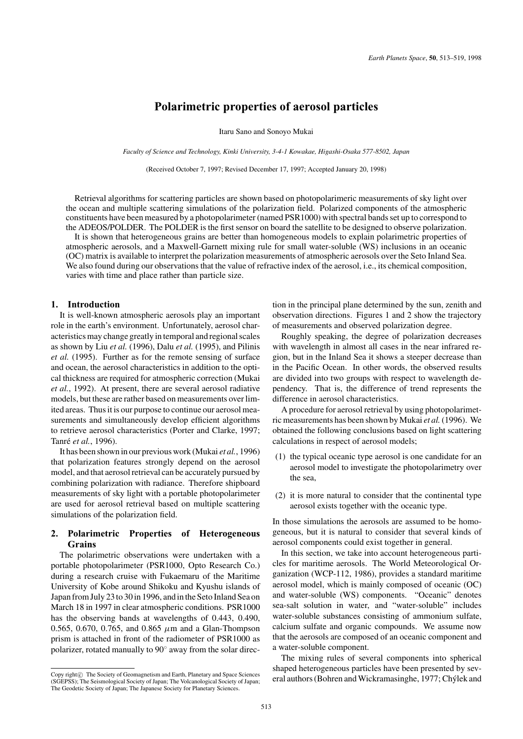# **Polarimetric properties of aerosol particles**

Itaru Sano and Sonoyo Mukai

*Faculty of Science and Technology, Kinki University, 3-4-1 Kowakae, Higashi-Osaka 577-8502, Japan*

(Received October 7, 1997; Revised December 17, 1997; Accepted January 20, 1998)

Retrieval algorithms for scattering particles are shown based on photopolarimeric measurements of sky light over the ocean and multiple scattering simulations of the polarization field. Polarized components of the atmospheric constituents have been measured by a photopolarimeter (named PSR1000) with spectral bands set up to correspond to the ADEOS/POLDER. The POLDER is the first sensor on board the satellite to be designed to observe polarization.

It is shown that heterogeneous grains are better than homogeneous models to explain polarimetric properties of atmospheric aerosols, and a Maxwell-Garnett mixing rule for small water-soluble (WS) inclusions in an oceanic (OC) matrix is available to interpret the polarization measurements of atmospheric aerosols over the Seto Inland Sea. We also found during our observations that the value of refractive index of the aerosol, i.e., its chemical composition, varies with time and place rather than particle size.

## **1. Introduction**

It is well-known atmospheric aerosols play an important role in the earth's environment. Unfortunately, aerosol characteristics may change greatly in temporal and regional scales as shown by Liu *et al.* (1996), Dalu *et al.* (1995), and Pilinis *et al.* (1995). Further as for the remote sensing of surface and ocean, the aerosol characteristics in addition to the optical thickness are required for atmospheric correction (Mukai *et al.*, 1992). At present, there are several aerosol radiative models, but these are rather based on measurements over limited areas. Thus it is our purpose to continue our aerosol measurements and simultaneously develop efficient algorithms to retrieve aerosol characteristics (Porter and Clarke, 1997; Tanré *et al.*, 1996).

It has been shown in our previous work (Mukai *et al.*, 1996) that polarization features strongly depend on the aerosol model, and that aerosol retrieval can be accurately pursued by combining polarization with radiance. Therefore shipboard measurements of sky light with a portable photopolarimeter are used for aerosol retrieval based on multiple scattering simulations of the polarization field.

# **2. Polarimetric Properties of Heterogeneous Grains**

The polarimetric observations were undertaken with a portable photopolarimeter (PSR1000, Opto Research Co.) during a research cruise with Fukaemaru of the Maritime University of Kobe around Shikoku and Kyushu islands of Japan from July 23 to 30 in 1996, and in the Seto Inland Sea on March 18 in 1997 in clear atmospheric conditions. PSR1000 has the observing bands at wavelengths of 0.443, 0.490, 0.565, 0.670, 0.765, and 0.865  $\mu$ m and a Glan-Thompson prism is attached in front of the radiometer of PSR1000 as polarizer, rotated manually to 90◦ away from the solar direction in the principal plane determined by the sun, zenith and observation directions. Figures 1 and 2 show the trajectory of measurements and observed polarization degree.

Roughly speaking, the degree of polarization decreases with wavelength in almost all cases in the near infrared region, but in the Inland Sea it shows a steeper decrease than in the Pacific Ocean. In other words, the observed results are divided into two groups with respect to wavelength dependency. That is, the difference of trend represents the difference in aerosol characteristics.

A procedure for aerosol retrieval by using photopolarimetric measurements has been shown by Mukai *et al.*(1996). We obtained the following conclusions based on light scattering calculations in respect of aerosol models;

- (1) the typical oceanic type aerosol is one candidate for an aerosol model to investigate the photopolarimetry over the sea,
- (2) it is more natural to consider that the continental type aerosol exists together with the oceanic type.

In those simulations the aerosols are assumed to be homogeneous, but it is natural to consider that several kinds of aerosol components could exist together in general.

In this section, we take into account heterogeneous particles for maritime aerosols. The World Meteorological Organization (WCP-112, 1986), provides a standard maritime aerosol model, which is mainly composed of oceanic (OC) and water-soluble (WS) components. "Oceanic" denotes sea-salt solution in water, and "water-soluble" includes water-soluble substances consisting of ammonium sulfate, calcium sulfate and organic compounds. We assume now that the aerosols are composed of an oceanic component and a water-soluble component.

The mixing rules of several components into spherical shaped heterogeneous particles have been presented by several authors (Bohren and Wickramasinghe, 1977; Chýlek and

Copy right $\circ$  The Society of Geomagnetism and Earth, Planetary and Space Sciences (SGEPSS); The Seismological Society of Japan; The Volcanological Society of Japan; The Geodetic Society of Japan; The Japanese Society for Planetary Sciences.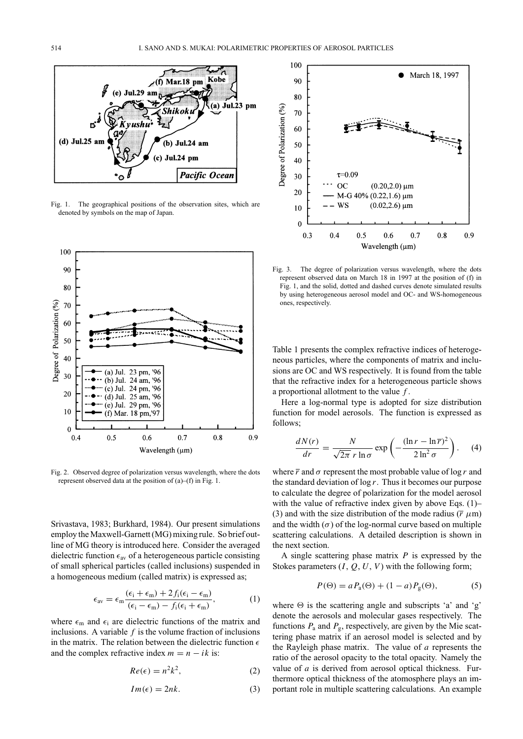

Fig. 1. The geographical positions of the observation sites, which are denoted by symbols on the map of Japan.



Fig. 2. Observed degree of polarization versus wavelength, where the dots represent observed data at the position of (a)–(f) in Fig. 1.

Srivastava, 1983; Burkhard, 1984). Our present simulations employ the Maxwell-Garnett (MG) mixing rule. So brief outline of MG theory is introduced here. Consider the averaged dielectric function  $\epsilon_{av}$  of a heterogeneous particle consisting of small spherical particles (called inclusions) suspended in a homogeneous medium (called matrix) is expressed as;

$$
\epsilon_{\rm av} = \epsilon_{\rm m} \frac{(\epsilon_{\rm i} + \epsilon_{\rm m}) + 2 f_{\rm i} (\epsilon_{\rm i} - \epsilon_{\rm m})}{(\epsilon_{\rm i} - \epsilon_{\rm m}) - f_{\rm i} (\epsilon_{\rm i} + \epsilon_{\rm m})},\tag{1}
$$

where  $\epsilon_{\rm m}$  and  $\epsilon_{\rm i}$  are dielectric functions of the matrix and inclusions. A variable *f* is the volume fraction of inclusions in the matrix. The relation between the dielectric function  $\epsilon$ and the complex refractive index  $m = n - ik$  is:

$$
Re(\epsilon) = n^2 k^2, \tag{2}
$$

$$
Im(\epsilon) = 2nk.\tag{3}
$$



Fig. 3. The degree of polarization versus wavelength, where the dots represent observed data on March 18 in 1997 at the position of (f) in Fig. 1, and the solid, dotted and dashed curves denote simulated results by using heterogeneous aerosol model and OC- and WS-homogeneous ones, respectively.

Table 1 presents the complex refractive indices of heterogeneous particles, where the components of matrix and inclusions are OC and WS respectively. It is found from the table that the refractive index for a heterogeneous particle shows a proportional allotment to the value *f* .

Here a log-normal type is adopted for size distribution function for model aerosols. The function is expressed as follows;

$$
\frac{dN(r)}{dr} = \frac{N}{\sqrt{2\pi} r \ln \sigma} \exp\left(-\frac{(\ln r - \ln \overline{r})^2}{2 \ln^2 \sigma}\right). \tag{4}
$$

where  $\overline{r}$  and  $\sigma$  represent the most probable value of log *r* and the standard deviation of log *r*. Thus it becomes our purpose to calculate the degree of polarization for the model aerosol with the value of refractive index given by above Eqs. (1)– (3) and with the size distribution of the mode radius  $(\overline{r} \mu m)$ and the width  $(\sigma)$  of the log-normal curve based on multiple scattering calculations. A detailed description is shown in the next section.

A single scattering phase matrix *P* is expressed by the Stokes parameters (*I*, *Q*, *U*, *V*) with the following form;

$$
P(\Theta) = a P_a(\Theta) + (1 - a) P_g(\Theta), \tag{5}
$$

where  $\Theta$  is the scattering angle and subscripts 'a' and 'g' denote the aerosols and molecular gases respectively. The functions  $P_a$  and  $P_g$ , respectively, are given by the Mie scattering phase matrix if an aerosol model is selected and by the Rayleigh phase matrix. The value of *a* represents the ratio of the aerosol opacity to the total opacity. Namely the value of *a* is derived from aerosol optical thickness. Furthermore optical thickness of the atomosphere plays an important role in multiple scattering calculations. An example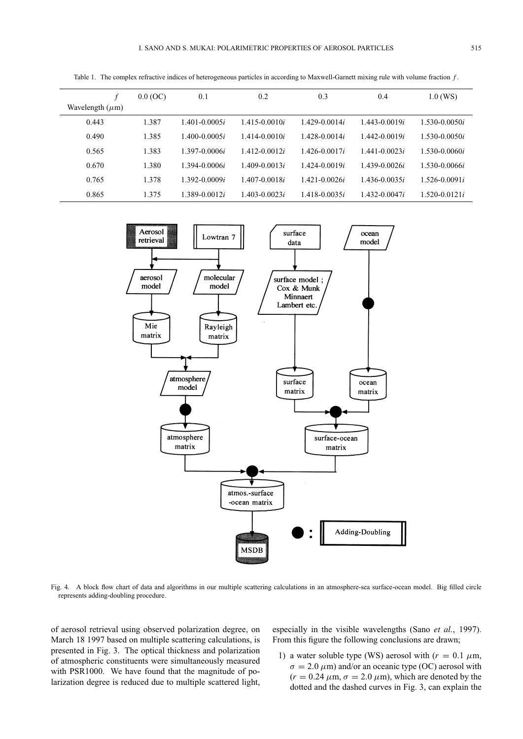|                      | 0.0 (OC) | 0.1                   | 0.2                   | 0.3               | 0.4               | $1.0$ (WS)            |
|----------------------|----------|-----------------------|-----------------------|-------------------|-------------------|-----------------------|
| Wavelength $(\mu m)$ |          |                       |                       |                   |                   |                       |
| 0.443                | 1.387    | 1.401-0.0005 <i>i</i> | $1.415 - 0.0010i$     | $1.429 - 0.0014i$ | $1.443 - 0.0019i$ | $1.530 - 0.0050i$     |
| 0.490                | 1.385    | $-400-0.0005i$        | $1.414 - 0.0010i$     | $1.428 - 0.0014i$ | $1.442 - 0.0019i$ | $1.530 - 0.0050i$     |
| 0.565                | 1.383    | 1.397-0.0006 <i>i</i> | $1.412 - 0.0012i$     | $1.426 - 0.0017i$ | $1.441 - 0.0023i$ | $1.530 - 0.0060i$     |
| 0.670                | 1.380    | 1.394-0.0006 <i>i</i> | 1.409-0.0013i         | $1.424 - 0.0019i$ | 1.439-0.0026i     | 1.530-0.0066i         |
| 0.765                | 1.378    | 1.392-0.0009 <i>i</i> | $1.407 - 0.0018i$     | $1.421 - 0.0026i$ | $1.436 - 0.0035i$ | $1.526 - 0.0091i$     |
| 0.865                | 1.375    | $-389 - 0.0012i$      | 1.403-0.0023 <i>i</i> | $1.418 - 0.0035i$ | $1.432 - 0.0047i$ | 1.520-0.0121 <i>i</i> |

Table 1. The complex refractive indices of heterogeneous particles in according to Maxwell-Garnett mixing rule with volume fraction *f* .



Fig. 4. A block flow chart of data and algorithms in our multiple scattering calculations in an atmosphere-sea surface-ocean model. Big filled circle represents adding-doubling procedure.

of aerosol retrieval using observed polarization degree, on March 18 1997 based on multiple scattering calculations, is presented in Fig. 3. The optical thickness and polarization of atmospheric constituents were simultaneously measured with PSR1000. We have found that the magnitude of polarization degree is reduced due to multiple scattered light,

especially in the visible wavelengths (Sano *et al.*, 1997). From this figure the following conclusions are drawn;

1) a water soluble type (WS) aerosol with  $(r = 0.1 \mu m,$  $\sigma = 2.0 \,\mu\text{m}$ ) and/or an oceanic type (OC) aerosol with  $(r = 0.24 \ \mu \text{m}, \sigma = 2.0 \ \mu \text{m})$ , which are denoted by the dotted and the dashed curves in Fig. 3, can explain the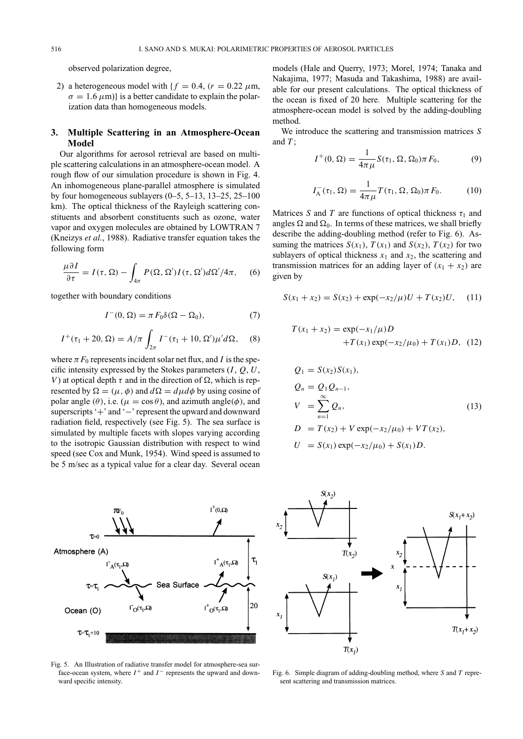observed polarization degree,

2) a heterogeneous model with  ${f = 0.4, (r = 0.22 \mu m,)}$  $\sigma = 1.6 \,\mu\text{m}$ } is a better candidate to explain the polarization data than homogeneous models.

## **3. Multiple Scattering in an Atmosphere-Ocean Model**

Our algorithms for aerosol retrieval are based on multiple scattering calculations in an atmosphere-ocean model. A rough flow of our simulation procedure is shown in Fig. 4. An inhomogeneous plane-parallel atmosphere is simulated by four homogeneous sublayers  $(0-5, 5-13, 13-25, 25-100)$ km). The optical thickness of the Rayleigh scattering constituents and absorbent constituents such as ozone, water vapor and oxygen molecules are obtained by LOWTRAN 7 (Kneizys *et al.*, 1988). Radiative transfer equation takes the following form

$$
\frac{\mu \partial I}{\partial \tau} = I(\tau, \Omega) - \int_{4\pi} P(\Omega, \Omega') I(\tau, \Omega') d\Omega'/4\pi, \quad (6)
$$

together with boundary conditions

$$
I^{-}(0,\Omega) = \pi F_0 \delta(\Omega - \Omega_0),\tag{7}
$$

$$
I^{+}(\tau_{1}+20,\Omega) = A/\pi \int_{2\pi} I^{-}(\tau_{1}+10,\Omega')\mu'd\Omega, \quad (8)
$$

where  $\pi F_0$  represents incident solar net flux, and *I* is the specific intensity expressed by the Stokes parameters (*I*, *Q*, *U*, *V*) at optical depth  $\tau$  and in the direction of  $\Omega$ , which is represented by  $\Omega = (\mu, \phi)$  and  $d\Omega = d\mu d\phi$  by using cosine of polar angle ( $\theta$ ), i.e. ( $\mu = \cos \theta$ ), and azimuth angle( $\phi$ ), and superscripts '+' and '−' represent the upward and downward radiation field, respectively (see Fig. 5). The sea surface is simulated by multiple facets with slopes varying according to the isotropic Gaussian distribution with respect to wind speed (see Cox and Munk, 1954). Wind speed is assumed to be 5 m/sec as a typical value for a clear day. Several ocean

 $(2.0)^+$ Atmosphere (A)  $\tau_{\scriptscriptstyle 1}$  $I^+_{\ \Lambda}(\tau_1,\Omega)$  $(5.0)$ Sea Surface 20  $\Gamma_{\mathcal{O}}(\tau_1,\Omega)$  $I^+_{O}(\tau_1,\Omega)$ Ocean (O)  $\mathbf{T} = \mathbf{T}_1 + 10$ 

Fig. 5. An Illustration of radiative transfer model for atmosphere-sea surface-ocean system, where  $I^+$  and  $I^-$  represents the upward and downward specific intensity.

models (Hale and Querry, 1973; Morel, 1974; Tanaka and Nakajima, 1977; Masuda and Takashima, 1988) are available for our present calculations. The optical thickness of the ocean is fixed of 20 here. Multiple scattering for the atmosphere-ocean model is solved by the adding-doubling method.

We introduce the scattering and transmission matrices *S* and *T* ;

$$
I^{+}(0, \Omega) = \frac{1}{4\pi \mu} S(\tau_1, \Omega, \Omega_0) \pi F_0,
$$
 (9)

$$
I_{\mathcal{A}}^-(\tau_1, \Omega) = \frac{1}{4\pi\mu} T(\tau_1, \Omega, \Omega_0) \pi F_0.
$$
 (10)

Matrices *S* and *T* are functions of optical thickness  $\tau_1$  and angles  $\Omega$  and  $\Omega_0$ . In terms of these matrices, we shall briefly describe the adding-doubling method (refer to Fig. 6). Assuming the matrices  $S(x_1)$ ,  $T(x_1)$  and  $S(x_2)$ ,  $T(x_2)$  for two sublayers of optical thickness  $x_1$  and  $x_2$ , the scattering and transmission matrices for an adding layer of  $(x_1 + x_2)$  are given by

$$
S(x_1 + x_2) = S(x_2) + \exp(-x_2/\mu)U + T(x_2)U, \quad (11)
$$

$$
T(x_1 + x_2) = \exp(-x_1/\mu)D +T(x_1)\exp(-x_2/\mu_0) + T(x_1)D, (12)
$$

$$
Q_1 = S(x_2)S(x_1),
$$
  
\n
$$
Q_n = Q_1 Q_{n-1},
$$
  
\n
$$
V = \sum_{n=1}^{\infty} Q_n,
$$
  
\n
$$
D = T(x_2) + V \exp(-x_2/\mu_0) + VT(x_2),
$$
  
\n
$$
V = S(x_1) + (x_1 + y_1)S(x_1) + Y(x_2),
$$

$$
U = S(x_1) \exp(-x_2/\mu_0) + S(x_1)D.
$$



Fig. 6. Simple diagram of adding-doubling method, where *S* and *T* represent scattering and transmission matrices.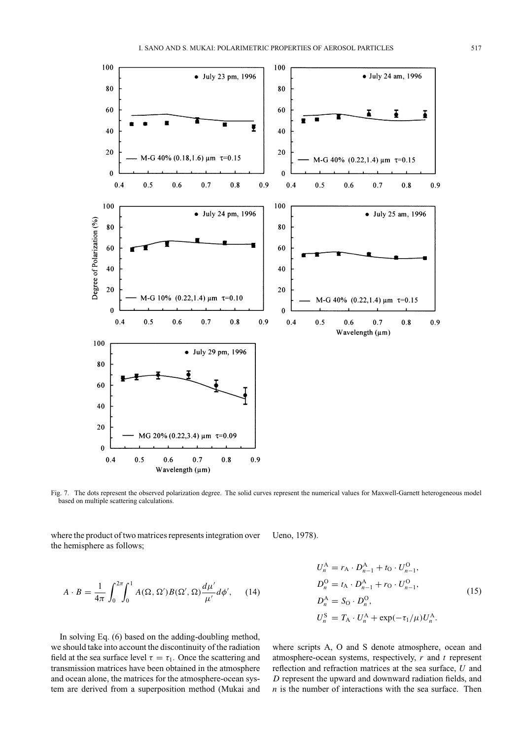

Fig. 7. The dots represent the observed polarization degree. The solid curves represent the numerical values for Maxwell-Garnett heterogeneous model based on multiple scattering calculations.

where the product of two matrices represents integration over the hemisphere as follows; Ueno, 1978).

$$
A \cdot B = \frac{1}{4\pi} \int_0^{2\pi} \int_0^1 A(\Omega, \Omega') B(\Omega', \Omega) \frac{d\mu'}{\mu'} d\phi', \qquad (14)
$$

In solving Eq. (6) based on the adding-doubling method, we should take into account the discontinuity of the radiation field at the sea surface level  $\tau = \tau_1$ . Once the scattering and transmission matrices have been obtained in the atmosphere and ocean alone, the matrices for the atmosphere-ocean system are derived from a superposition method (Mukai and

$$
U_n^{\text{A}} = r_{\text{A}} \cdot D_{n-1}^{\text{A}} + t_0 \cdot U_{n-1}^{\text{O}},
$$
  
\n
$$
D_n^{\text{O}} = t_{\text{A}} \cdot D_{n-1}^{\text{A}} + r_{\text{O}} \cdot U_{n-1}^{\text{O}},
$$
  
\n
$$
D_n^{\text{A}} = S_{\text{O}} \cdot D_n^{\text{O}},
$$
  
\n
$$
U_n^{\text{S}} = T_{\text{A}} \cdot U_n^{\text{A}} + \exp(-\tau_1/\mu)U_n^{\text{A}}.
$$
\n(15)

where scripts A, O and S denote atmosphere, ocean and atmosphere-ocean systems, respectively, *r* and *t* represent reflection and refraction matrices at the sea surface, *U* and *D* represent the upward and downward radiation fields, and *n* is the number of interactions with the sea surface. Then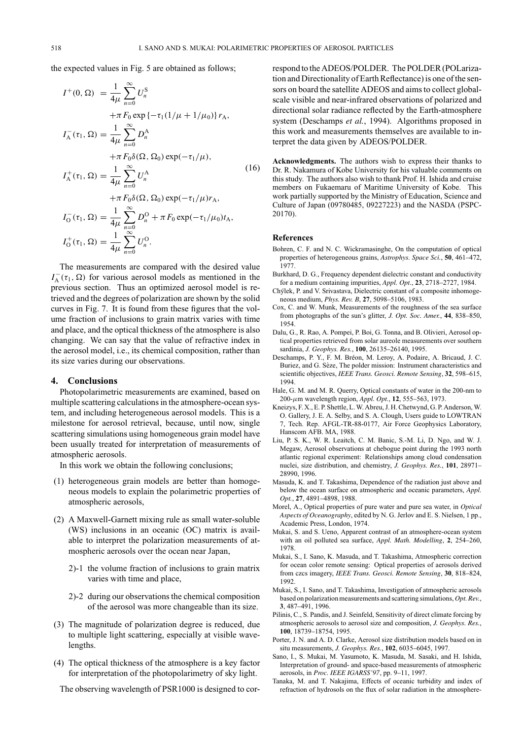the expected values in Fig. 5 are obtained as follows;

$$
I^{+}(0, \Omega) = \frac{1}{4\mu} \sum_{n=0}^{\infty} U_{n}^{S}
$$
  
\n
$$
+ \pi F_{0} \exp \{-\tau_{1}(1/\mu + 1/\mu_{0})\} r_{A},
$$
  
\n
$$
I_{A}^{-}(\tau_{1}, \Omega) = \frac{1}{4\mu} \sum_{n=0}^{\infty} D_{n}^{A}
$$
  
\n
$$
+ \pi F_{0} \delta(\Omega, \Omega_{0}) \exp(-\tau_{1}/\mu),
$$
  
\n
$$
I_{A}^{+}(\tau_{1}, \Omega) = \frac{1}{4\mu} \sum_{n=0}^{\infty} U_{n}^{A}
$$
  
\n
$$
+ \pi F_{0} \delta(\Omega, \Omega_{0}) \exp(-\tau_{1}/\mu) r_{A},
$$
  
\n
$$
I_{0}^{-}(\tau_{1}, \Omega) = \frac{1}{4\mu} \sum_{n=0}^{\infty} D_{n}^{O} + \pi F_{0} \exp(-\tau_{1}/\mu_{0}) t_{A},
$$
  
\n
$$
I_{0}^{+}(\tau_{1}, \Omega) = \frac{1}{4\mu} \sum_{n=0}^{\infty} U_{n}^{O}.
$$
  
\n(16)

The measurements are compared with the desired value  $I_A^-(\tau_1, \Omega)$  for various aerosol models as mentioned in the previous section. Thus an optimized aerosol model is retrieved and the degrees of polarization are shown by the solid curves in Fig. 7. It is found from these figures that the volume fraction of inclusions to grain matrix varies with time and place, and the optical thickness of the atmosphere is also changing. We can say that the value of refractive index in the aerosol model, i.e., its chemical composition, rather than its size varies during our observations.

### **4. Conclusions**

Photopolarimetric measurements are examined, based on multiple scattering calculations in the atmosphere-ocean system, and including heterogeneous aerosol models. This is a milestone for aerosol retrieval, because, until now, single scattering simulations using homogeneous grain model have been usually treated for interpretation of measurements of atmospheric aerosols.

In this work we obtain the following conclusions;

- (1) heterogeneous grain models are better than homogeneous models to explain the polarimetric properties of atmospheric aerosols,
- (2) A Maxwell-Garnett mixing rule as small water-soluble (WS) inclusions in an oceanic (OC) matrix is available to interpret the polarization measurements of atmospheric aerosols over the ocean near Japan,
	- 2)-1 the volume fraction of inclusions to grain matrix varies with time and place,
	- 2)-2 during our observations the chemical composition of the aerosol was more changeable than its size.
- (3) The magnitude of polarization degree is reduced, due to multiple light scattering, especially at visible wavelengths.
- (4) The optical thickness of the atmosphere is a key factor for interpretation of the photopolarimetry of sky light.

The observing wavelength of PSR1000 is designed to cor-

respond to the ADEOS/POLDER. The POLDER (POLarization and Directionality of Earth Reflectance) is one of the sensors on board the satellite ADEOS and aims to collect globalscale visible and near-infrared observations of polarized and directional solar radiance reflected by the Earth-atmosphere system (Deschamps *et al.*, 1994). Algorithms proposed in this work and measurements themselves are available to interpret the data given by ADEOS/POLDER.

**Acknowledgments.** The authors wish to express their thanks to Dr. R. Nakamura of Kobe University for his valuable comments on this study. The authors also wish to thank Prof. H. Ishida and cruise members on Fukaemaru of Maritime University of Kobe. This work partially supported by the Ministry of Education, Science and Culture of Japan (09780485, 09227223) and the NASDA (PSPC-20170).

#### **References**

- Bohren, C. F. and N. C. Wickramasinghe, On the computation of optical properties of heterogeneous grains, *Astrophys. Space Sci.*, **50**, 461–472, 1977.
- Burkhard, D. G., Frequency dependent dielectric constant and conductivity for a medium containing impurities, *Appl. Opt.*, **23**, 2718–2727, 1984.
- Chýlek, P. and V. Srivastava, Dielectric constant of a composite inhomogeneous medium, *Phys. Rev. B*, **27**, 5098–5106, 1983.
- Cox, C. and W. Munk, Measurements of the roughness of the sea surface from photographs of the sun's glitter, *J. Opt. Soc. Amer.*, **44**, 838–850, 1954.
- Dalu, G., R. Rao, A. Pompei, P. Boi, G. Tonna, and B. Olivieri, Aerosol optical properties retrieved from solar aureole measurements over southern sardinia, *J. Geophys. Res.*, **100**, 26135–26140, 1995.
- Deschamps, P. Y., F. M. Bréon, M. Leroy, A. Podaire, A. Bricaud, J. C. Buriez, and G. Sèze, The polder mission: Instrument characteristics and scientific objectives, *IEEE Trans. Geosci. Remote Sensing*, **32**, 598–615, 1994.
- Hale, G. M. and M. R. Querry, Optical constants of water in the 200-nm to 200-μm wavelength region, *Appl. Opt.*, **12**, 555–563, 1973.
- Kneizys, F. X., E. P. Shettle, L. W. Abreu, J. H. Chetwynd, G. P. Anderson, W. O. Gallery, J. E. A. Selby, and S. A. Clough, Users guide to LOWTRAN 7, Tech. Rep. AFGL-TR-88-0177, Air Force Geophysics Laboratory, Hanscom AFB. MA, 1988.
- Liu, P. S. K., W. R. Leaitch, C. M. Banic, S.-M. Li, D. Ngo, and W. J. Megaw, Aerosol observations at chebogue point during the 1993 north atlantic regional experiment: Relationships among cloud condensation nuclei, size distribution, and chemistry, *J. Geophys. Res.*, **101**, 28971– 28990, 1996.
- Masuda, K. and T. Takashima, Dependence of the radiation just above and below the ocean surface on atmospheric and oceanic parameters, *Appl. Opt.*, **27**, 4891–4898, 1988.
- Morel, A., Optical properties of pure water and pure sea water, in *Optical Aspects of Oceanography*, edited by N. G. Jerlov and E. S. Nielsen, 1 pp., Academic Press, London, 1974.
- Mukai, S. and S. Ueno, Apparent contrast of an atmosphere-ocean system with an oil polluted sea surface, *Appl. Math. Modelling*, **2**, 254–260, 1978.
- Mukai, S., I. Sano, K. Masuda, and T. Takashima, Atmospheric correction for ocean color remote sensing: Optical properties of aerosols derived from czcs imagery, *IEEE Trans. Geosci. Remote Sensing*, **30**, 818–824, 1992.
- Mukai, S., I. Sano, and T. Takashima, Investigation of atmospheric aerosols based on polarization measurements and scattering simulations, *Opt. Rev.*, **3**, 487–491, 1996.
- Pilinis, C., S. Pandis, and J. Seinfeld, Sensitivity of direct climate forcing by atmospheric aerosols to aerosol size and composition, *J. Geophys. Res.*, **100**, 18739–18754, 1995.
- Porter, J. N. and A. D. Clarke, Aerosol size distribution models based on in situ measurements, *J. Geophys. Res.*, **102**, 6035–6045, 1997.
- Sano, I., S. Mukai, M. Yasumoto, K. Masuda, M. Sasaki, and H. Ishida, Interpretation of ground- and space-based measurements of atmospheric aerosols, in *Proc. IEEE IGARSS'97*, pp. 9–11, 1997.
- Tanaka, M. and T. Nakajima, Effects of oceanic turbidity and index of refraction of hydrosols on the flux of solar radiation in the atmosphere-